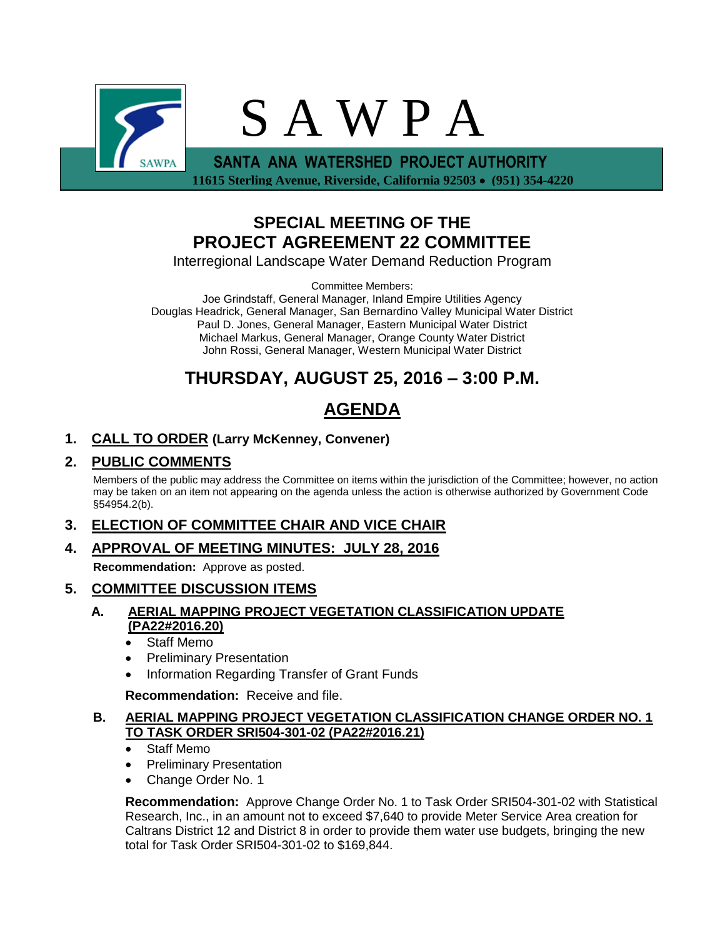

 **11615 Sterling Avenue, Riverside, California 92503 (951) 354-4220**

## **SPECIAL MEETING OF THE PROJECT AGREEMENT 22 COMMITTEE**

Interregional Landscape Water Demand Reduction Program

Committee Members:

Joe Grindstaff, General Manager, Inland Empire Utilities Agency Douglas Headrick, General Manager, San Bernardino Valley Municipal Water District Paul D. Jones, General Manager, Eastern Municipal Water District Michael Markus, General Manager, Orange County Water District John Rossi, General Manager, Western Municipal Water District

# **THURSDAY, AUGUST 25, 2016 – 3:00 P.M.**

# **AGENDA**

## **1. CALL TO ORDER (Larry McKenney, Convener)**

## **2. PUBLIC COMMENTS**

Members of the public may address the Committee on items within the jurisdiction of the Committee; however, no action may be taken on an item not appearing on the agenda unless the action is otherwise authorized by Government Code §54954.2(b).

## **3. ELECTION OF COMMITTEE CHAIR AND VICE CHAIR**

**4. APPROVAL OF MEETING MINUTES: JULY 28, 2016**

**Recommendation:** Approve as posted.

## **5. COMMITTEE DISCUSSION ITEMS**

#### **A. AERIAL MAPPING PROJECT VEGETATION CLASSIFICATION UPDATE (PA22#2016.20)**

- Staff Memo
- Preliminary Presentation
- Information Regarding Transfer of Grant Funds

**Recommendation:** Receive and file.

### **B. AERIAL MAPPING PROJECT VEGETATION CLASSIFICATION CHANGE ORDER NO. 1 TO TASK ORDER SRI504-301-02 (PA22#2016.21)**

- Staff Memo
- Preliminary Presentation
- Change Order No. 1

**Recommendation:** Approve Change Order No. 1 to Task Order SRI504-301-02 with Statistical Research, Inc., in an amount not to exceed \$7,640 to provide Meter Service Area creation for Caltrans District 12 and District 8 in order to provide them water use budgets, bringing the new total for Task Order SRI504-301-02 to \$169,844.